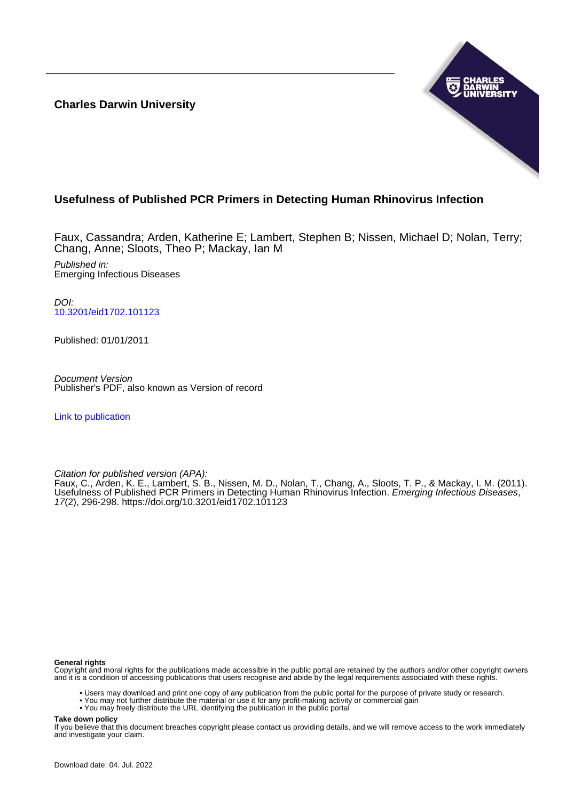**Charles Darwin University**



## **Usefulness of Published PCR Primers in Detecting Human Rhinovirus Infection**

Faux, Cassandra; Arden, Katherine E; Lambert, Stephen B; Nissen, Michael D; Nolan, Terry; Chang, Anne; Sloots, Theo P; Mackay, Ian M Published in: Emerging Infectious Diseases

 $D$ [10.3201/eid1702.101123](https://doi.org/10.3201/eid1702.101123)

Published: 01/01/2011

Document Version Publisher's PDF, also known as Version of record

[Link to publication](https://researchers.cdu.edu.au/en/publications/0dd83145-5818-41d3-a181-41698bf5f0b7)

Citation for published version (APA):

Faux, C., Arden, K. E., Lambert, S. B., Nissen, M. D., Nolan, T., Chang, A., Sloots, T. P., & Mackay, I. M. (2011). Usefulness of Published PCR Primers in Detecting Human Rhinovirus Infection. Emerging Infectious Diseases, 17(2), 296-298.<https://doi.org/10.3201/eid1702.101123>

#### **General rights**

Copyright and moral rights for the publications made accessible in the public portal are retained by the authors and/or other copyright owners and it is a condition of accessing publications that users recognise and abide by the legal requirements associated with these rights.

- Users may download and print one copy of any publication from the public portal for the purpose of private study or research.
- You may not further distribute the material or use it for any profit-making activity or commercial gain
- You may freely distribute the URL identifying the publication in the public portal

**Take down policy**

If you believe that this document breaches copyright please contact us providing details, and we will remove access to the work immediately and investigate your claim.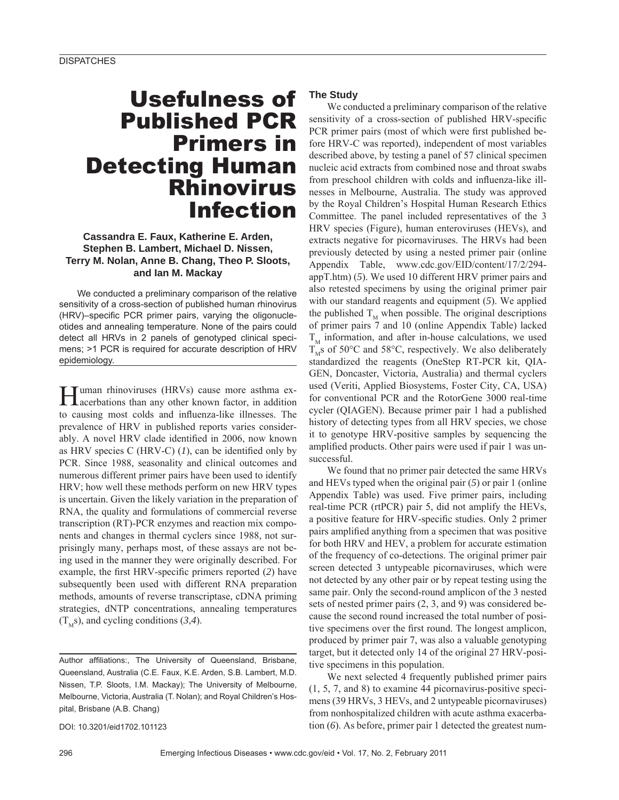# Usefulness of Published PCR Primers in Detecting Human Rhinovirus Infection

### **Cassandra E. Faux, Katherine E. Arden, Stephen B. Lambert, Michael D. Nissen, Terry M. Nolan, Anne B. Chang, Theo P. Sloots, and Ian M. Mackay**

We conducted a preliminary comparison of the relative sensitivity of a cross-section of published human rhinovirus (HRV)–specific PCR primer pairs, varying the oligonucleotides and annealing temperature. None of the pairs could detect all HRVs in 2 panels of genotyped clinical specimens; >1 PCR is required for accurate description of HRV epidemiology.

Human rhinoviruses (HRVs) cause more asthma ex-acerbations than any other known factor, in addition to causing most colds and influenza-like illnesses. The prevalence of HRV in published reports varies considerably. A novel HRV clade identified in 2006, now known as HRV species C (HRV-C)  $(1)$ , can be identified only by PCR. Since 1988, seasonality and clinical outcomes and numerous different primer pairs have been used to identify HRV; how well these methods perform on new HRV types is uncertain. Given the likely variation in the preparation of RNA, the quality and formulations of commercial reverse transcription (RT)-PCR enzymes and reaction mix components and changes in thermal cyclers since 1988, not surprisingly many, perhaps most, of these assays are not being used in the manner they were originally described. For example, the first HRV-specific primers reported (2) have subsequently been used with different RNA preparation methods, amounts of reverse transcriptase, cDNA priming strategies, dNTP concentrations, annealing temperatures  $(T_Ms)$ , and cycling conditions (3,4).

Author affiliations:, The University of Queensland, Brisbane, Queensland, Australia (C.E. Faux, K.E. Arden, S.B. Lambert, M.D. Nissen, T.P. Sloots, I.M. Mackay); The University of Melbourne, Melbourne, Victoria, Australia (T. Nolan); and Royal Children's Hospital, Brisbane (A.B. Chang)

DOI: 10.3201/eid1702.101123

#### **The Study**

We conducted a preliminary comparison of the relative sensitivity of a cross-section of published HRV-specific PCR primer pairs (most of which were first published before HRV-C was reported), independent of most variables described above, by testing a panel of 57 clinical specimen nucleic acid extracts from combined nose and throat swabs from preschool children with colds and influenza-like illnesses in Melbourne, Australia. The study was approved by the Royal Children's Hospital Human Research Ethics Committee. The panel included representatives of the 3 HRV species (Figure), human enteroviruses (HEVs), and extracts negative for picornaviruses. The HRVs had been previously detected by using a nested primer pair (online Appendix Table, www.cdc.gov/EID/content/17/2/294 appT.htm) (*5*). We used 10 different HRV primer pairs and also retested specimens by using the original primer pair with our standard reagents and equipment (*5*). We applied the published  $T_M$  when possible. The original descriptions of primer pairs 7 and 10 (online Appendix Table) lacked  $T<sub>M</sub>$  information, and after in-house calculations, we used  $T_{\text{M}}$ s of 50°C and 58°C, respectively. We also deliberately standardized the reagents (OneStep RT-PCR kit, QIA-GEN, Doncaster, Victoria, Australia) and thermal cyclers used (Veriti, Applied Biosystems, Foster City, CA, USA) for conventional PCR and the RotorGene 3000 real-time cycler (QIAGEN). Because primer pair 1 had a published history of detecting types from all HRV species, we chose it to genotype HRV-positive samples by sequencing the amplified products. Other pairs were used if pair 1 was unsuccessful.

We found that no primer pair detected the same HRVs and HEVs typed when the original pair (*5*) or pair 1 (online Appendix Table) was used. Five primer pairs, including real-time PCR (rtPCR) pair 5, did not amplify the HEVs, a positive feature for HRV-specific studies. Only 2 primer pairs amplified anything from a specimen that was positive for both HRV and HEV, a problem for accurate estimation of the frequency of co-detections. The original primer pair screen detected 3 untypeable picornaviruses, which were not detected by any other pair or by repeat testing using the same pair. Only the second-round amplicon of the 3 nested sets of nested primer pairs (2, 3, and 9) was considered because the second round increased the total number of positive specimens over the first round. The longest amplicon, produced by primer pair 7, was also a valuable genotyping target, but it detected only 14 of the original 27 HRV-positive specimens in this population.

We next selected 4 frequently published primer pairs (1, 5, 7, and 8) to examine 44 picornavirus-positive specimens (39 HRVs, 3 HEVs, and 2 untypeable picornaviruses) from nonhospitalized children with acute asthma exacerbation (*6*). As before, primer pair 1 detected the greatest num-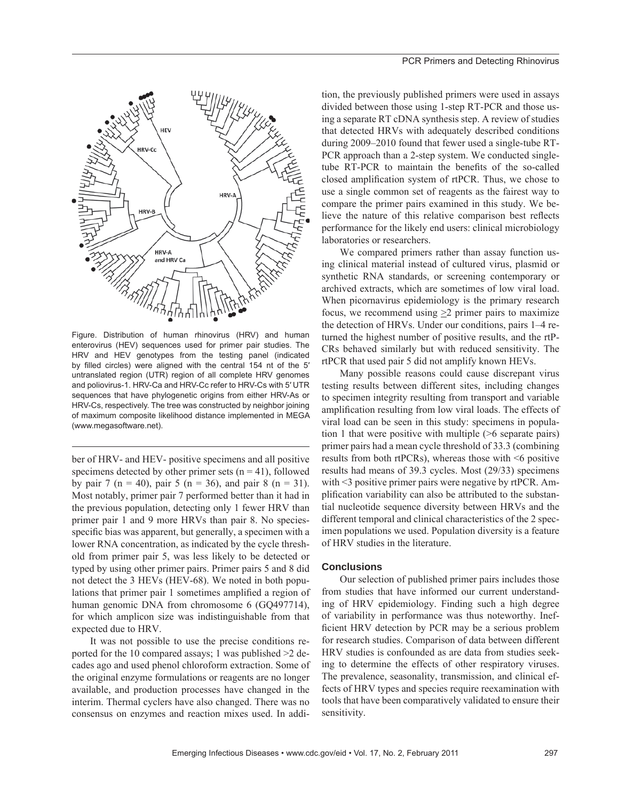

Figure. Distribution of human rhinovirus (HRV) and human enterovirus (HEV) sequences used for primer pair studies. The HRV and HEV genotypes from the testing panel (indicated by filled circles) were aligned with the central 154 nt of the 5' untranslated region (UTR) region of all complete HRV genomes and poliovirus-1. HRV-Ca and HRV-Cc refer to HRV-Cs with 5′ UTR sequences that have phylogenetic origins from either HRV-As or HRV-Cs, respectively. The tree was constructed by neighbor joining of maximum composite likelihood distance implemented in MEGA (www.megasoftware.net).

ber of HRV- and HEV- positive specimens and all positive specimens detected by other primer sets  $(n = 41)$ , followed by pair 7 (n = 40), pair 5 (n = 36), and pair 8 (n = 31). Most notably, primer pair 7 performed better than it had in the previous population, detecting only 1 fewer HRV than primer pair 1 and 9 more HRVs than pair 8. No speciesspecific bias was apparent, but generally, a specimen with a lower RNA concentration, as indicated by the cycle threshold from primer pair 5, was less likely to be detected or typed by using other primer pairs. Primer pairs 5 and 8 did not detect the 3 HEVs (HEV-68). We noted in both populations that primer pair 1 sometimes amplified a region of human genomic DNA from chromosome 6 (GQ497714), for which amplicon size was indistinguishable from that expected due to HRV.

It was not possible to use the precise conditions reported for the 10 compared assays; 1 was published >2 decades ago and used phenol chloroform extraction. Some of the original enzyme formulations or reagents are no longer available, and production processes have changed in the interim. Thermal cyclers have also changed. There was no consensus on enzymes and reaction mixes used. In addition, the previously published primers were used in assays divided between those using 1-step RT-PCR and those using a separate RT cDNA synthesis step. A review of studies that detected HRVs with adequately described conditions during 2009–2010 found that fewer used a single-tube RT-PCR approach than a 2-step system. We conducted singletube RT-PCR to maintain the benefits of the so-called closed amplification system of rtPCR. Thus, we chose to use a single common set of reagents as the fairest way to compare the primer pairs examined in this study. We believe the nature of this relative comparison best reflects performance for the likely end users: clinical microbiology laboratories or researchers.

We compared primers rather than assay function using clinical material instead of cultured virus, plasmid or synthetic RNA standards, or screening contemporary or archived extracts, which are sometimes of low viral load. When picornavirus epidemiology is the primary research focus, we recommend using  $\geq 2$  primer pairs to maximize the detection of HRVs. Under our conditions, pairs 1–4 returned the highest number of positive results, and the rtP-CRs behaved similarly but with reduced sensitivity. The rtPCR that used pair 5 did not amplify known HEVs.

Many possible reasons could cause discrepant virus testing results between different sites, including changes to specimen integrity resulting from transport and variable amplification resulting from low viral loads. The effects of viral load can be seen in this study: specimens in population 1 that were positive with multiple (>6 separate pairs) primer pairs had a mean cycle threshold of 33.3 (combining results from both rtPCRs), whereas those with <6 positive results had means of 39.3 cycles. Most (29/33) specimens with <3 positive primer pairs were negative by rtPCR. Amplification variability can also be attributed to the substantial nucleotide sequence diversity between HRVs and the different temporal and clinical characteristics of the 2 specimen populations we used. Population diversity is a feature of HRV studies in the literature.

#### **Conclusions**

Our selection of published primer pairs includes those from studies that have informed our current understanding of HRV epidemiology. Finding such a high degree of variability in performance was thus noteworthy. Inefficient HRV detection by PCR may be a serious problem for research studies. Comparison of data between different HRV studies is confounded as are data from studies seeking to determine the effects of other respiratory viruses. The prevalence, seasonality, transmission, and clinical effects of HRV types and species require reexamination with tools that have been comparatively validated to ensure their sensitivity.